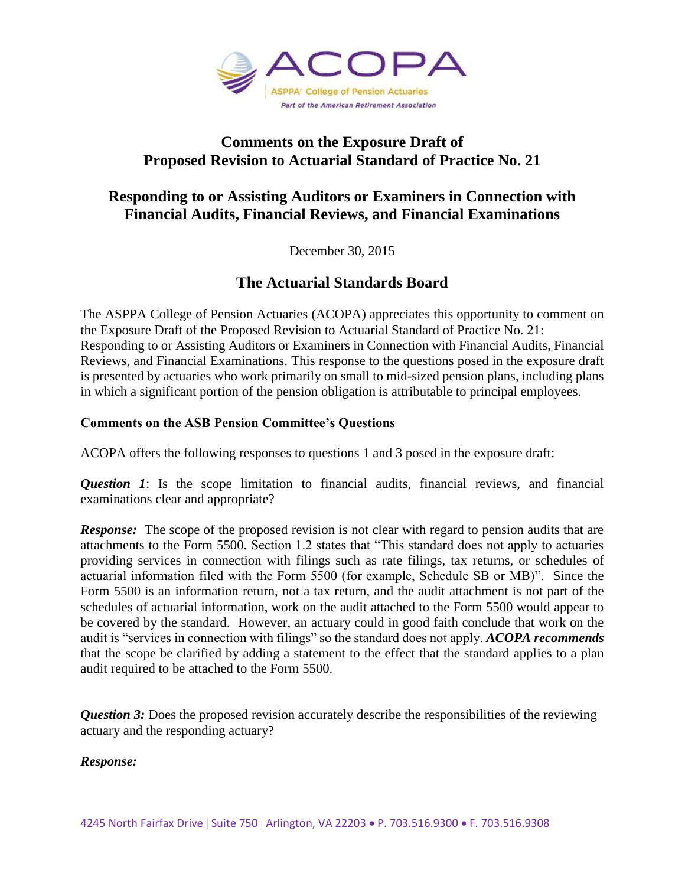

### **Comments on the Exposure Draft of Proposed Revision to Actuarial Standard of Practice No. 21**

# **Responding to or Assisting Auditors or Examiners in Connection with Financial Audits, Financial Reviews, and Financial Examinations**

December 30, 2015

# **The Actuarial Standards Board**

The ASPPA College of Pension Actuaries (ACOPA) appreciates this opportunity to comment on the Exposure Draft of the Proposed Revision to Actuarial Standard of Practice No. 21: Responding to or Assisting Auditors or Examiners in Connection with Financial Audits, Financial Reviews, and Financial Examinations. This response to the questions posed in the exposure draft is presented by actuaries who work primarily on small to mid-sized pension plans, including plans in which a significant portion of the pension obligation is attributable to principal employees.

### **Comments on the ASB Pension Committee's Questions**

ACOPA offers the following responses to questions 1 and 3 posed in the exposure draft:

*Question 1*: Is the scope limitation to financial audits, financial reviews, and financial examinations clear and appropriate?

**Response:** The scope of the proposed revision is not clear with regard to pension audits that are attachments to the Form 5500. Section 1.2 states that "This standard does not apply to actuaries providing services in connection with filings such as rate filings, tax returns, or schedules of actuarial information filed with the Form 5500 (for example, Schedule SB or MB)". Since the Form 5500 is an information return, not a tax return, and the audit attachment is not part of the schedules of actuarial information, work on the audit attached to the Form 5500 would appear to be covered by the standard. However, an actuary could in good faith conclude that work on the audit is "services in connection with filings" so the standard does not apply. *ACOPA recommends* that the scope be clarified by adding a statement to the effect that the standard applies to a plan audit required to be attached to the Form 5500.

**Question 3:** Does the proposed revision accurately describe the responsibilities of the reviewing actuary and the responding actuary?

### *Response:*